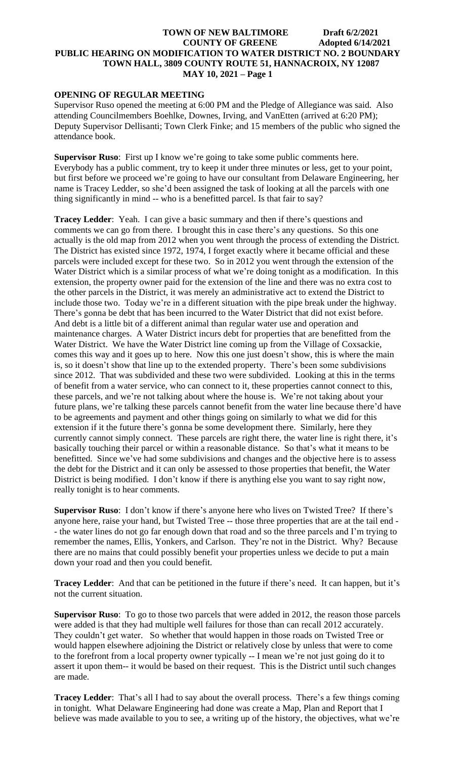# **OPENING OF REGULAR MEETING**

Supervisor Ruso opened the meeting at 6:00 PM and the Pledge of Allegiance was said. Also attending Councilmembers Boehlke, Downes, Irving, and VanEtten (arrived at 6:20 PM); Deputy Supervisor Dellisanti; Town Clerk Finke; and 15 members of the public who signed the attendance book.

**Supervisor Ruso**: First up I know we're going to take some public comments here. Everybody has a public comment, try to keep it under three minutes or less, get to your point, but first before we proceed we're going to have our consultant from Delaware Engineering, her name is Tracey Ledder, so she'd been assigned the task of looking at all the parcels with one thing significantly in mind -- who is a benefitted parcel. Is that fair to say?

**Tracey Ledder**: Yeah. I can give a basic summary and then if there's questions and comments we can go from there. I brought this in case there's any questions. So this one actually is the old map from 2012 when you went through the process of extending the District. The District has existed since 1972, 1974, I forget exactly where it became official and these parcels were included except for these two. So in 2012 you went through the extension of the Water District which is a similar process of what we're doing tonight as a modification. In this extension, the property owner paid for the extension of the line and there was no extra cost to the other parcels in the District, it was merely an administrative act to extend the District to include those two. Today we're in a different situation with the pipe break under the highway. There's gonna be debt that has been incurred to the Water District that did not exist before. And debt is a little bit of a different animal than regular water use and operation and maintenance charges. A Water District incurs debt for properties that are benefitted from the Water District. We have the Water District line coming up from the Village of Coxsackie, comes this way and it goes up to here. Now this one just doesn't show, this is where the main is, so it doesn't show that line up to the extended property. There's been some subdivisions since 2012. That was subdivided and these two were subdivided. Looking at this in the terms of benefit from a water service, who can connect to it, these properties cannot connect to this, these parcels, and we're not talking about where the house is. We're not taking about your future plans, we're talking these parcels cannot benefit from the water line because there'd have to be agreements and payment and other things going on similarly to what we did for this extension if it the future there's gonna be some development there. Similarly, here they currently cannot simply connect. These parcels are right there, the water line is right there, it's basically touching their parcel or within a reasonable distance. So that's what it means to be benefitted. Since we've had some subdivisions and changes and the objective here is to assess the debt for the District and it can only be assessed to those properties that benefit, the Water District is being modified. I don't know if there is anything else you want to say right now, really tonight is to hear comments.

**Supervisor Ruso**: I don't know if there's anyone here who lives on Twisted Tree? If there's anyone here, raise your hand, but Twisted Tree -- those three properties that are at the tail end - - the water lines do not go far enough down that road and so the three parcels and I'm trying to remember the names, Ellis, Yonkers, and Carlson. They're not in the District. Why? Because there are no mains that could possibly benefit your properties unless we decide to put a main down your road and then you could benefit.

**Tracey Ledder**: And that can be petitioned in the future if there's need. It can happen, but it's not the current situation.

**Supervisor Ruso**: To go to those two parcels that were added in 2012, the reason those parcels were added is that they had multiple well failures for those than can recall 2012 accurately. They couldn't get water. So whether that would happen in those roads on Twisted Tree or would happen elsewhere adjoining the District or relatively close by unless that were to come to the forefront from a local property owner typically -- I mean we're not just going do it to assert it upon them-- it would be based on their request. This is the District until such changes are made.

**Tracey Ledder**: That's all I had to say about the overall process. There's a few things coming in tonight. What Delaware Engineering had done was create a Map, Plan and Report that I believe was made available to you to see, a writing up of the history, the objectives, what we're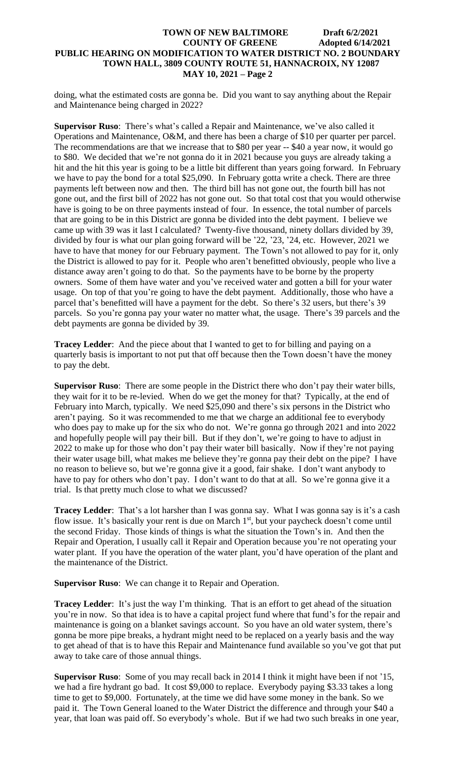doing, what the estimated costs are gonna be. Did you want to say anything about the Repair and Maintenance being charged in 2022?

**Supervisor Ruso**: There's what's called a Repair and Maintenance, we've also called it Operations and Maintenance, O&M, and there has been a charge of \$10 per quarter per parcel. The recommendations are that we increase that to \$80 per year -- \$40 a year now, it would go to \$80. We decided that we're not gonna do it in 2021 because you guys are already taking a hit and the hit this year is going to be a little bit different than years going forward. In February we have to pay the bond for a total \$25,090. In February gotta write a check. There are three payments left between now and then. The third bill has not gone out, the fourth bill has not gone out, and the first bill of 2022 has not gone out. So that total cost that you would otherwise have is going to be on three payments instead of four. In essence, the total number of parcels that are going to be in this District are gonna be divided into the debt payment. I believe we came up with 39 was it last I calculated? Twenty-five thousand, ninety dollars divided by 39, divided by four is what our plan going forward will be '22, '23, '24, etc. However, 2021 we have to have that money for our February payment. The Town's not allowed to pay for it, only the District is allowed to pay for it. People who aren't benefitted obviously, people who live a distance away aren't going to do that. So the payments have to be borne by the property owners. Some of them have water and you've received water and gotten a bill for your water usage. On top of that you're going to have the debt payment. Additionally, those who have a parcel that's benefitted will have a payment for the debt. So there's 32 users, but there's 39 parcels. So you're gonna pay your water no matter what, the usage. There's 39 parcels and the debt payments are gonna be divided by 39.

**Tracey Ledder**: And the piece about that I wanted to get to for billing and paying on a quarterly basis is important to not put that off because then the Town doesn't have the money to pay the debt.

**Supervisor Ruso**: There are some people in the District there who don't pay their water bills, they wait for it to be re-levied. When do we get the money for that? Typically, at the end of February into March, typically. We need \$25,090 and there's six persons in the District who aren't paying. So it was recommended to me that we charge an additional fee to everybody who does pay to make up for the six who do not. We're gonna go through 2021 and into 2022 and hopefully people will pay their bill. But if they don't, we're going to have to adjust in 2022 to make up for those who don't pay their water bill basically. Now if they're not paying their water usage bill, what makes me believe they're gonna pay their debt on the pipe? I have no reason to believe so, but we're gonna give it a good, fair shake. I don't want anybody to have to pay for others who don't pay. I don't want to do that at all. So we're gonna give it a trial. Is that pretty much close to what we discussed?

**Tracey Ledder**: That's a lot harsher than I was gonna say. What I was gonna say is it's a cash flow issue. It's basically your rent is due on March  $1<sup>st</sup>$ , but your paycheck doesn't come until the second Friday. Those kinds of things is what the situation the Town's in. And then the Repair and Operation, I usually call it Repair and Operation because you're not operating your water plant. If you have the operation of the water plant, you'd have operation of the plant and the maintenance of the District.

**Supervisor Ruso**: We can change it to Repair and Operation.

**Tracey Ledder**: It's just the way I'm thinking. That is an effort to get ahead of the situation you're in now. So that idea is to have a capital project fund where that fund's for the repair and maintenance is going on a blanket savings account. So you have an old water system, there's gonna be more pipe breaks, a hydrant might need to be replaced on a yearly basis and the way to get ahead of that is to have this Repair and Maintenance fund available so you've got that put away to take care of those annual things.

**Supervisor Ruso**: Some of you may recall back in 2014 I think it might have been if not '15, we had a fire hydrant go bad. It cost \$9,000 to replace. Everybody paying \$3.33 takes a long time to get to \$9,000. Fortunately, at the time we did have some money in the bank. So we paid it. The Town General loaned to the Water District the difference and through your \$40 a year, that loan was paid off. So everybody's whole. But if we had two such breaks in one year,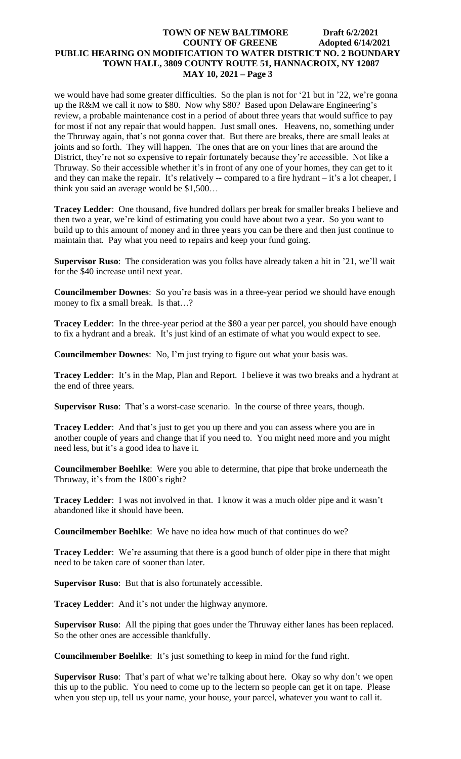we would have had some greater difficulties. So the plan is not for '21 but in '22, we're gonna up the R&M we call it now to \$80. Now why \$80? Based upon Delaware Engineering's review, a probable maintenance cost in a period of about three years that would suffice to pay for most if not any repair that would happen. Just small ones. Heavens, no, something under the Thruway again, that's not gonna cover that. But there are breaks, there are small leaks at joints and so forth. They will happen. The ones that are on your lines that are around the District, they're not so expensive to repair fortunately because they're accessible. Not like a Thruway. So their accessible whether it's in front of any one of your homes, they can get to it and they can make the repair. It's relatively -- compared to a fire hydrant – it's a lot cheaper, I think you said an average would be \$1,500…

**Tracey Ledder**: One thousand, five hundred dollars per break for smaller breaks I believe and then two a year, we're kind of estimating you could have about two a year. So you want to build up to this amount of money and in three years you can be there and then just continue to maintain that. Pay what you need to repairs and keep your fund going.

**Supervisor Ruso**: The consideration was you folks have already taken a hit in '21, we'll wait for the \$40 increase until next year.

**Councilmember Downes**: So you're basis was in a three-year period we should have enough money to fix a small break. Is that…?

**Tracey Ledder**: In the three-year period at the \$80 a year per parcel, you should have enough to fix a hydrant and a break. It's just kind of an estimate of what you would expect to see.

**Councilmember Downes**: No, I'm just trying to figure out what your basis was.

**Tracey Ledder**: It's in the Map, Plan and Report. I believe it was two breaks and a hydrant at the end of three years.

**Supervisor Ruso**: That's a worst-case scenario. In the course of three years, though.

**Tracey Ledder:** And that's just to get you up there and you can assess where you are in another couple of years and change that if you need to. You might need more and you might need less, but it's a good idea to have it.

**Councilmember Boehlke**: Were you able to determine, that pipe that broke underneath the Thruway, it's from the 1800's right?

**Tracey Ledder**: I was not involved in that. I know it was a much older pipe and it wasn't abandoned like it should have been.

**Councilmember Boehlke**: We have no idea how much of that continues do we?

**Tracey Ledder:** We're assuming that there is a good bunch of older pipe in there that might need to be taken care of sooner than later.

**Supervisor Ruso**: But that is also fortunately accessible.

**Tracey Ledder**: And it's not under the highway anymore.

**Supervisor Ruso**: All the piping that goes under the Thruway either lanes has been replaced. So the other ones are accessible thankfully.

**Councilmember Boehlke**: It's just something to keep in mind for the fund right.

**Supervisor Ruso**: That's part of what we're talking about here. Okay so why don't we open this up to the public. You need to come up to the lectern so people can get it on tape. Please when you step up, tell us your name, your house, your parcel, whatever you want to call it.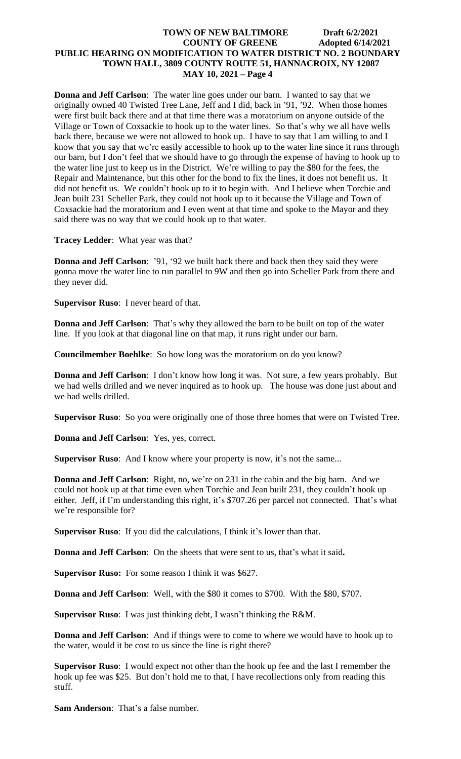**Donna and Jeff Carlson**: The water line goes under our barn. I wanted to say that we originally owned 40 Twisted Tree Lane, Jeff and I did, back in '91, '92. When those homes were first built back there and at that time there was a moratorium on anyone outside of the Village or Town of Coxsackie to hook up to the water lines. So that's why we all have wells back there, because we were not allowed to hook up. I have to say that I am willing to and I know that you say that we're easily accessible to hook up to the water line since it runs through our barn, but I don't feel that we should have to go through the expense of having to hook up to the water line just to keep us in the District. We're willing to pay the \$80 for the fees, the Repair and Maintenance, but this other for the bond to fix the lines, it does not benefit us. It did not benefit us. We couldn't hook up to it to begin with. And I believe when Torchie and Jean built 231 Scheller Park, they could not hook up to it because the Village and Town of Coxsackie had the moratorium and I even went at that time and spoke to the Mayor and they said there was no way that we could hook up to that water.

**Tracey Ledder**: What year was that?

**Donna and Jeff Carlson**: '91, '92 we built back there and back then they said they were gonna move the water line to run parallel to 9W and then go into Scheller Park from there and they never did.

**Supervisor Ruso**: I never heard of that.

**Donna and Jeff Carlson**: That's why they allowed the barn to be built on top of the water line. If you look at that diagonal line on that map, it runs right under our barn.

**Councilmember Boehlke**: So how long was the moratorium on do you know?

**Donna and Jeff Carlson**: I don't know how long it was. Not sure, a few years probably. But we had wells drilled and we never inquired as to hook up. The house was done just about and we had wells drilled.

**Supervisor Ruso**: So you were originally one of those three homes that were on Twisted Tree.

**Donna and Jeff Carlson**: Yes, yes, correct.

**Supervisor Ruso**: And I know where your property is now, it's not the same...

**Donna and Jeff Carlson**: Right, no, we're on 231 in the cabin and the big barn. And we could not hook up at that time even when Torchie and Jean built 231, they couldn't hook up either. Jeff, if I'm understanding this right, it's \$707.26 per parcel not connected. That's what we're responsible for?

**Supervisor Ruso**: If you did the calculations, I think it's lower than that.

**Donna and Jeff Carlson**: On the sheets that were sent to us, that's what it said**.**

**Supervisor Ruso:** For some reason I think it was \$627.

**Donna and Jeff Carlson**: Well, with the \$80 it comes to \$700. With the \$80, \$707.

**Supervisor Ruso**: I was just thinking debt, I wasn't thinking the R&M.

**Donna and Jeff Carlson**: And if things were to come to where we would have to hook up to the water, would it be cost to us since the line is right there?

**Supervisor Ruso**: I would expect not other than the hook up fee and the last I remember the hook up fee was \$25. But don't hold me to that, I have recollections only from reading this stuff.

**Sam Anderson**: That's a false number.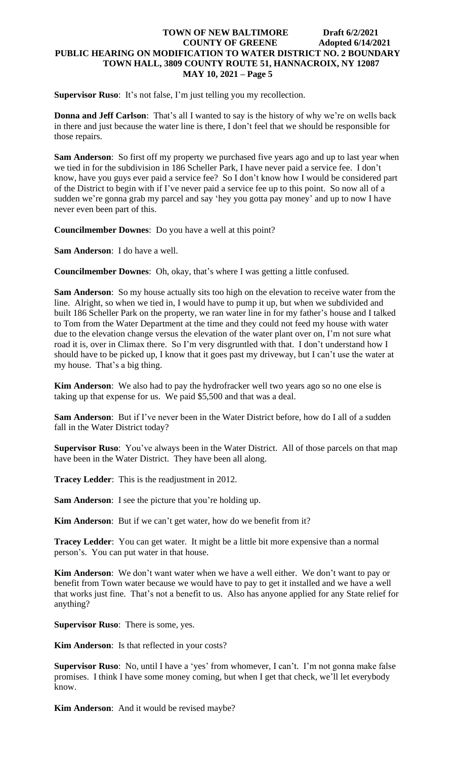**Supervisor Ruso**: It's not false, I'm just telling you my recollection.

**Donna and Jeff Carlson**: That's all I wanted to say is the history of why we're on wells back in there and just because the water line is there, I don't feel that we should be responsible for those repairs.

**Sam Anderson**: So first off my property we purchased five years ago and up to last year when we tied in for the subdivision in 186 Scheller Park, I have never paid a service fee. I don't know, have you guys ever paid a service fee? So I don't know how I would be considered part of the District to begin with if I've never paid a service fee up to this point. So now all of a sudden we're gonna grab my parcel and say 'hey you gotta pay money' and up to now I have never even been part of this.

**Councilmember Downes**: Do you have a well at this point?

**Sam Anderson**: I do have a well.

**Councilmember Downes**: Oh, okay, that's where I was getting a little confused.

**Sam Anderson**: So my house actually sits too high on the elevation to receive water from the line. Alright, so when we tied in, I would have to pump it up, but when we subdivided and built 186 Scheller Park on the property, we ran water line in for my father's house and I talked to Tom from the Water Department at the time and they could not feed my house with water due to the elevation change versus the elevation of the water plant over on, I'm not sure what road it is, over in Climax there. So I'm very disgruntled with that. I don't understand how I should have to be picked up, I know that it goes past my driveway, but I can't use the water at my house. That's a big thing.

**Kim Anderson**: We also had to pay the hydrofracker well two years ago so no one else is taking up that expense for us. We paid \$5,500 and that was a deal.

**Sam Anderson**: But if I've never been in the Water District before, how do I all of a sudden fall in the Water District today?

**Supervisor Ruso**: You've always been in the Water District. All of those parcels on that map have been in the Water District. They have been all along.

**Tracey Ledder**: This is the readjustment in 2012.

**Sam Anderson**: I see the picture that you're holding up.

**Kim Anderson**: But if we can't get water, how do we benefit from it?

**Tracey Ledder**: You can get water. It might be a little bit more expensive than a normal person's. You can put water in that house.

**Kim Anderson**: We don't want water when we have a well either. We don't want to pay or benefit from Town water because we would have to pay to get it installed and we have a well that works just fine. That's not a benefit to us. Also has anyone applied for any State relief for anything?

**Supervisor Ruso**: There is some, yes.

**Kim Anderson**: Is that reflected in your costs?

**Supervisor Ruso**: No, until I have a 'yes' from whomever, I can't. I'm not gonna make false promises. I think I have some money coming, but when I get that check, we'll let everybody know.

**Kim Anderson**: And it would be revised maybe?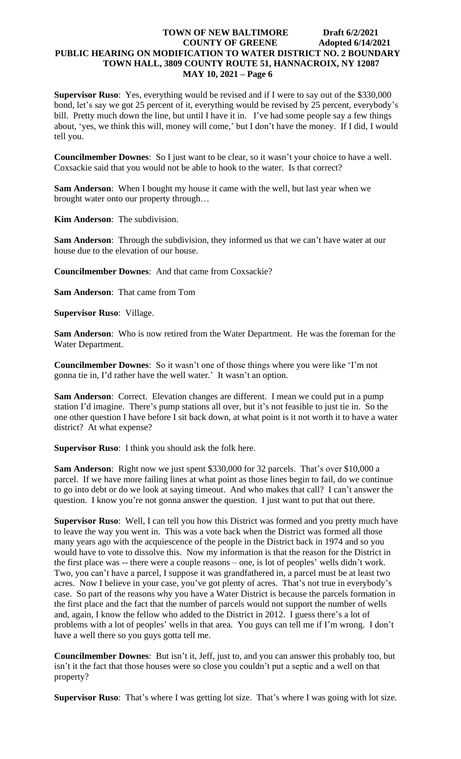**Supervisor Ruso**: Yes, everything would be revised and if I were to say out of the \$330,000 bond, let's say we got 25 percent of it, everything would be revised by 25 percent, everybody's bill. Pretty much down the line, but until I have it in. I've had some people say a few things about, 'yes, we think this will, money will come,' but I don't have the money. If I did, I would tell you.

**Councilmember Downes**: So I just want to be clear, so it wasn't your choice to have a well. Coxsackie said that you would not be able to hook to the water. Is that correct?

**Sam Anderson**: When I bought my house it came with the well, but last year when we brought water onto our property through…

**Kim Anderson**: The subdivision.

**Sam Anderson**: Through the subdivision, they informed us that we can't have water at our house due to the elevation of our house.

**Councilmember Downes**: And that came from Coxsackie?

**Sam Anderson**: That came from Tom

**Supervisor Ruso**: Village.

**Sam Anderson**: Who is now retired from the Water Department. He was the foreman for the Water Department.

**Councilmember Downes**: So it wasn't one of those things where you were like 'I'm not gonna tie in, I'd rather have the well water.' It wasn't an option.

**Sam Anderson**: Correct. Elevation changes are different. I mean we could put in a pump station I'd imagine. There's pump stations all over, but it's not feasible to just tie in. So the one other question I have before I sit back down, at what point is it not worth it to have a water district? At what expense?

**Supervisor Ruso**: I think you should ask the folk here.

**Sam Anderson**: Right now we just spent \$330,000 for 32 parcels. That's over \$10,000 a parcel. If we have more failing lines at what point as those lines begin to fail, do we continue to go into debt or do we look at saying timeout. And who makes that call? I can't answer the question. I know you're not gonna answer the question. I just want to put that out there.

**Supervisor Ruso**: Well, I can tell you how this District was formed and you pretty much have to leave the way you went in. This was a vote back when the District was formed all those many years ago with the acquiescence of the people in the District back in 1974 and so you would have to vote to dissolve this. Now my information is that the reason for the District in the first place was -- there were a couple reasons – one, is lot of peoples' wells didn't work. Two, you can't have a parcel, I suppose it was grandfathered in, a parcel must be at least two acres. Now I believe in your case, you've got plenty of acres. That's not true in everybody's case. So part of the reasons why you have a Water District is because the parcels formation in the first place and the fact that the number of parcels would not support the number of wells and, again, I know the fellow who added to the District in 2012. I guess there's a lot of problems with a lot of peoples' wells in that area. You guys can tell me if I'm wrong. I don't have a well there so you guys gotta tell me.

**Councilmember Downes**: But isn't it, Jeff, just to, and you can answer this probably too, but isn't it the fact that those houses were so close you couldn't put a septic and a well on that property?

**Supervisor Ruso**: That's where I was getting lot size. That's where I was going with lot size.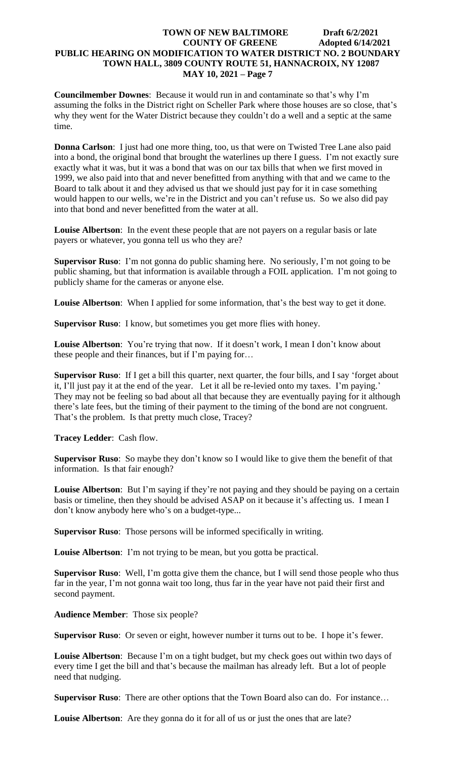**Councilmember Downes**: Because it would run in and contaminate so that's why I'm assuming the folks in the District right on Scheller Park where those houses are so close, that's why they went for the Water District because they couldn't do a well and a septic at the same time.

**Donna Carlson**: I just had one more thing, too, us that were on Twisted Tree Lane also paid into a bond, the original bond that brought the waterlines up there I guess. I'm not exactly sure exactly what it was, but it was a bond that was on our tax bills that when we first moved in 1999, we also paid into that and never benefitted from anything with that and we came to the Board to talk about it and they advised us that we should just pay for it in case something would happen to our wells, we're in the District and you can't refuse us. So we also did pay into that bond and never benefitted from the water at all.

**Louise Albertson**: In the event these people that are not payers on a regular basis or late payers or whatever, you gonna tell us who they are?

**Supervisor Ruso**: I'm not gonna do public shaming here. No seriously, I'm not going to be public shaming, but that information is available through a FOIL application. I'm not going to publicly shame for the cameras or anyone else.

**Louise Albertson**: When I applied for some information, that's the best way to get it done.

**Supervisor Ruso**: I know, but sometimes you get more flies with honey.

Louise Albertson: You're trying that now. If it doesn't work, I mean I don't know about these people and their finances, but if I'm paying for…

**Supervisor Ruso**: If I get a bill this quarter, next quarter, the four bills, and I say 'forget about it, I'll just pay it at the end of the year. Let it all be re-levied onto my taxes. I'm paying.' They may not be feeling so bad about all that because they are eventually paying for it although there's late fees, but the timing of their payment to the timing of the bond are not congruent. That's the problem. Is that pretty much close, Tracey?

**Tracey Ledder**: Cash flow.

**Supervisor Ruso**: So maybe they don't know so I would like to give them the benefit of that information. Is that fair enough?

**Louise Albertson**: But I'm saying if they're not paying and they should be paying on a certain basis or timeline, then they should be advised ASAP on it because it's affecting us. I mean I don't know anybody here who's on a budget-type...

**Supervisor Ruso**: Those persons will be informed specifically in writing.

**Louise Albertson**: I'm not trying to be mean, but you gotta be practical.

**Supervisor Ruso**: Well, I'm gotta give them the chance, but I will send those people who thus far in the year, I'm not gonna wait too long, thus far in the year have not paid their first and second payment.

**Audience Member**: Those six people?

**Supervisor Ruso**: Or seven or eight, however number it turns out to be. I hope it's fewer.

**Louise Albertson**: Because I'm on a tight budget, but my check goes out within two days of every time I get the bill and that's because the mailman has already left. But a lot of people need that nudging.

**Supervisor Ruso**: There are other options that the Town Board also can do. For instance…

Louise Albertson: Are they gonna do it for all of us or just the ones that are late?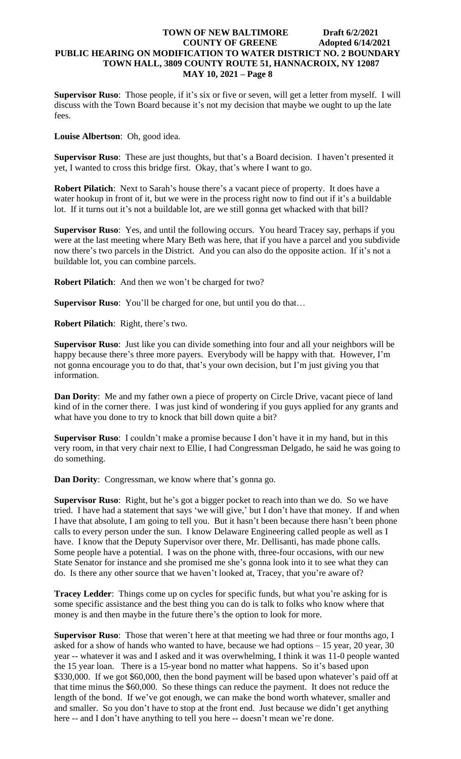**Supervisor Ruso**: Those people, if it's six or five or seven, will get a letter from myself. I will discuss with the Town Board because it's not my decision that maybe we ought to up the late fees.

**Louise Albertson**: Oh, good idea.

**Supervisor Ruso**: These are just thoughts, but that's a Board decision. I haven't presented it yet, I wanted to cross this bridge first. Okay, that's where I want to go.

**Robert Pilatich**: Next to Sarah's house there's a vacant piece of property. It does have a water hookup in front of it, but we were in the process right now to find out if it's a buildable lot. If it turns out it's not a buildable lot, are we still gonna get whacked with that bill?

**Supervisor Ruso**: Yes, and until the following occurs. You heard Tracey say, perhaps if you were at the last meeting where Mary Beth was here, that if you have a parcel and you subdivide now there's two parcels in the District. And you can also do the opposite action. If it's not a buildable lot, you can combine parcels.

**Robert Pilatich**: And then we won't be charged for two?

**Supervisor Ruso**: You'll be charged for one, but until you do that…

**Robert Pilatich**: Right, there's two.

**Supervisor Ruso**: Just like you can divide something into four and all your neighbors will be happy because there's three more payers. Everybody will be happy with that. However, I'm not gonna encourage you to do that, that's your own decision, but I'm just giving you that information.

**Dan Dority**: Me and my father own a piece of property on Circle Drive, vacant piece of land kind of in the corner there. I was just kind of wondering if you guys applied for any grants and what have you done to try to knock that bill down quite a bit?

**Supervisor Ruso**: I couldn't make a promise because I don't have it in my hand, but in this very room, in that very chair next to Ellie, I had Congressman Delgado, he said he was going to do something.

**Dan Dority:** Congressman, we know where that's gonna go.

**Supervisor Ruso**: Right, but he's got a bigger pocket to reach into than we do. So we have tried. I have had a statement that says 'we will give,' but I don't have that money. If and when I have that absolute, I am going to tell you. But it hasn't been because there hasn't been phone calls to every person under the sun. I know Delaware Engineering called people as well as I have. I know that the Deputy Supervisor over there, Mr. Dellisanti, has made phone calls. Some people have a potential. I was on the phone with, three-four occasions, with our new State Senator for instance and she promised me she's gonna look into it to see what they can do. Is there any other source that we haven't looked at, Tracey, that you're aware of?

**Tracey Ledder**: Things come up on cycles for specific funds, but what you're asking for is some specific assistance and the best thing you can do is talk to folks who know where that money is and then maybe in the future there's the option to look for more.

**Supervisor Ruso**: Those that weren't here at that meeting we had three or four months ago, I asked for a show of hands who wanted to have, because we had options – 15 year, 20 year, 30 year -- whatever it was and I asked and it was overwhelming, I think it was 11-0 people wanted the 15 year loan. There is a 15-year bond no matter what happens. So it's based upon \$330,000. If we got \$60,000, then the bond payment will be based upon whatever's paid off at that time minus the \$60,000. So these things can reduce the payment. It does not reduce the length of the bond. If we've got enough, we can make the bond worth whatever, smaller and and smaller. So you don't have to stop at the front end. Just because we didn't get anything here -- and I don't have anything to tell you here -- doesn't mean we're done.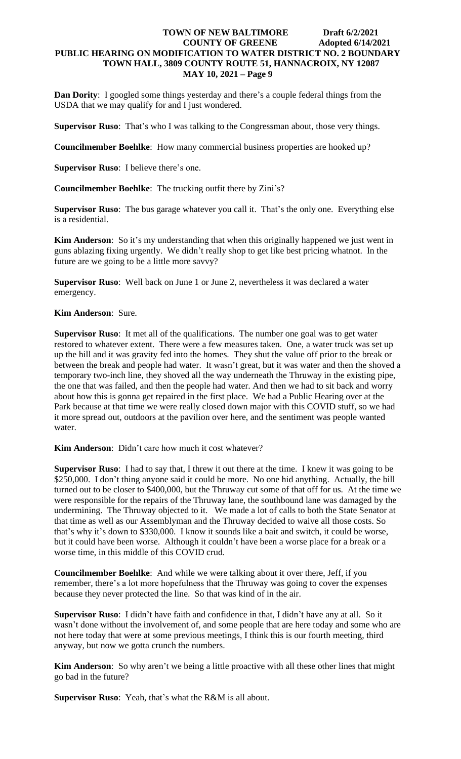**Dan Dority:** I googled some things yesterday and there's a couple federal things from the USDA that we may qualify for and I just wondered.

**Supervisor Ruso**: That's who I was talking to the Congressman about, those very things.

**Councilmember Boehlke**: How many commercial business properties are hooked up?

**Supervisor Ruso**: I believe there's one.

**Councilmember Boehlke**: The trucking outfit there by Zini's?

**Supervisor Ruso**: The bus garage whatever you call it. That's the only one. Everything else is a residential.

**Kim Anderson**: So it's my understanding that when this originally happened we just went in guns ablazing fixing urgently. We didn't really shop to get like best pricing whatnot. In the future are we going to be a little more savvy?

**Supervisor Ruso**: Well back on June 1 or June 2, nevertheless it was declared a water emergency.

**Kim Anderson**: Sure.

**Supervisor Ruso**: It met all of the qualifications. The number one goal was to get water restored to whatever extent. There were a few measures taken. One, a water truck was set up up the hill and it was gravity fed into the homes. They shut the value off prior to the break or between the break and people had water. It wasn't great, but it was water and then the shoved a temporary two-inch line, they shoved all the way underneath the Thruway in the existing pipe, the one that was failed, and then the people had water. And then we had to sit back and worry about how this is gonna get repaired in the first place. We had a Public Hearing over at the Park because at that time we were really closed down major with this COVID stuff, so we had it more spread out, outdoors at the pavilion over here, and the sentiment was people wanted water.

**Kim Anderson**: Didn't care how much it cost whatever?

**Supervisor Ruso**: I had to say that, I threw it out there at the time. I knew it was going to be \$250,000. I don't thing anyone said it could be more. No one hid anything. Actually, the bill turned out to be closer to \$400,000, but the Thruway cut some of that off for us. At the time we were responsible for the repairs of the Thruway lane, the southbound lane was damaged by the undermining. The Thruway objected to it. We made a lot of calls to both the State Senator at that time as well as our Assemblyman and the Thruway decided to waive all those costs. So that's why it's down to \$330,000. I know it sounds like a bait and switch, it could be worse, but it could have been worse. Although it couldn't have been a worse place for a break or a worse time, in this middle of this COVID crud.

**Councilmember Boehlke**: And while we were talking about it over there, Jeff, if you remember, there's a lot more hopefulness that the Thruway was going to cover the expenses because they never protected the line. So that was kind of in the air.

**Supervisor Ruso**: I didn't have faith and confidence in that, I didn't have any at all. So it wasn't done without the involvement of, and some people that are here today and some who are not here today that were at some previous meetings, I think this is our fourth meeting, third anyway, but now we gotta crunch the numbers.

**Kim Anderson**: So why aren't we being a little proactive with all these other lines that might go bad in the future?

**Supervisor Ruso**: Yeah, that's what the R&M is all about.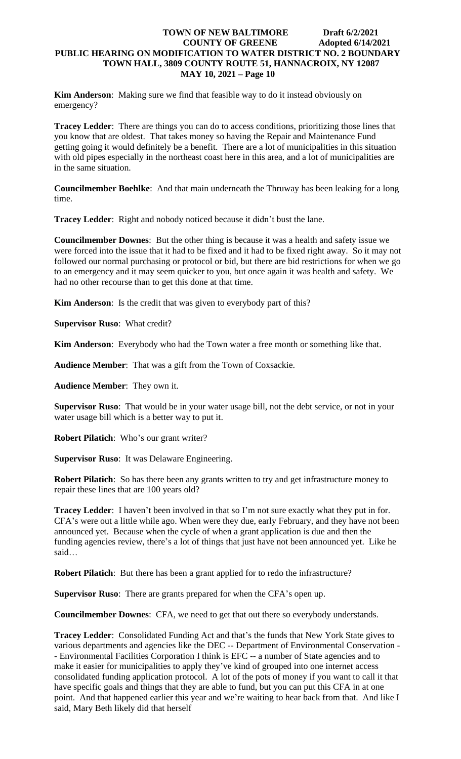**Kim Anderson**: Making sure we find that feasible way to do it instead obviously on emergency?

**Tracey Ledder**: There are things you can do to access conditions, prioritizing those lines that you know that are oldest. That takes money so having the Repair and Maintenance Fund getting going it would definitely be a benefit. There are a lot of municipalities in this situation with old pipes especially in the northeast coast here in this area, and a lot of municipalities are in the same situation.

**Councilmember Boehlke**: And that main underneath the Thruway has been leaking for a long time.

**Tracey Ledder**: Right and nobody noticed because it didn't bust the lane.

**Councilmember Downes**: But the other thing is because it was a health and safety issue we were forced into the issue that it had to be fixed and it had to be fixed right away. So it may not followed our normal purchasing or protocol or bid, but there are bid restrictions for when we go to an emergency and it may seem quicker to you, but once again it was health and safety. We had no other recourse than to get this done at that time.

**Kim Anderson**: Is the credit that was given to everybody part of this?

**Supervisor Ruso**: What credit?

**Kim Anderson**: Everybody who had the Town water a free month or something like that.

**Audience Member**: That was a gift from the Town of Coxsackie.

**Audience Member**: They own it.

**Supervisor Ruso**: That would be in your water usage bill, not the debt service, or not in your water usage bill which is a better way to put it.

**Robert Pilatich**: Who's our grant writer?

**Supervisor Ruso**: It was Delaware Engineering.

**Robert Pilatich**: So has there been any grants written to try and get infrastructure money to repair these lines that are 100 years old?

**Tracey Ledder**: I haven't been involved in that so I'm not sure exactly what they put in for. CFA's were out a little while ago. When were they due, early February, and they have not been announced yet. Because when the cycle of when a grant application is due and then the funding agencies review, there's a lot of things that just have not been announced yet. Like he said…

**Robert Pilatich**: But there has been a grant applied for to redo the infrastructure?

**Supervisor Ruso**: There are grants prepared for when the CFA's open up.

**Councilmember Downes**: CFA, we need to get that out there so everybody understands.

**Tracey Ledder**: Consolidated Funding Act and that's the funds that New York State gives to various departments and agencies like the DEC -- Department of Environmental Conservation - - Environmental Facilities Corporation I think is EFC -- a number of State agencies and to make it easier for municipalities to apply they've kind of grouped into one internet access consolidated funding application protocol. A lot of the pots of money if you want to call it that have specific goals and things that they are able to fund, but you can put this CFA in at one point. And that happened earlier this year and we're waiting to hear back from that. And like I said, Mary Beth likely did that herself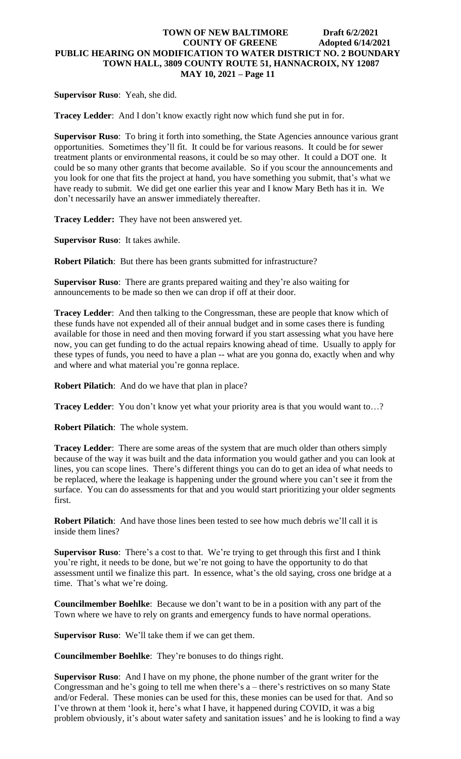**Supervisor Ruso**: Yeah, she did.

**Tracey Ledder**: And I don't know exactly right now which fund she put in for.

**Supervisor Ruso**: To bring it forth into something, the State Agencies announce various grant opportunities. Sometimes they'll fit. It could be for various reasons. It could be for sewer treatment plants or environmental reasons, it could be so may other. It could a DOT one. It could be so many other grants that become available. So if you scour the announcements and you look for one that fits the project at hand, you have something you submit, that's what we have ready to submit. We did get one earlier this year and I know Mary Beth has it in. We don't necessarily have an answer immediately thereafter.

**Tracey Ledder:** They have not been answered yet.

**Supervisor Ruso**: It takes awhile.

**Robert Pilatich**: But there has been grants submitted for infrastructure?

**Supervisor Ruso**: There are grants prepared waiting and they're also waiting for announcements to be made so then we can drop if off at their door.

**Tracey Ledder**: And then talking to the Congressman, these are people that know which of these funds have not expended all of their annual budget and in some cases there is funding available for those in need and then moving forward if you start assessing what you have here now, you can get funding to do the actual repairs knowing ahead of time. Usually to apply for these types of funds, you need to have a plan -- what are you gonna do, exactly when and why and where and what material you're gonna replace.

**Robert Pilatich**: And do we have that plan in place?

**Tracey Ledder:** You don't know yet what your priority area is that you would want to...?

**Robert Pilatich**: The whole system.

**Tracey Ledder**: There are some areas of the system that are much older than others simply because of the way it was built and the data information you would gather and you can look at lines, you can scope lines. There's different things you can do to get an idea of what needs to be replaced, where the leakage is happening under the ground where you can't see it from the surface. You can do assessments for that and you would start prioritizing your older segments first.

**Robert Pilatich**: And have those lines been tested to see how much debris we'll call it is inside them lines?

**Supervisor Ruso**: There's a cost to that. We're trying to get through this first and I think you're right, it needs to be done, but we're not going to have the opportunity to do that assessment until we finalize this part. In essence, what's the old saying, cross one bridge at a time. That's what we're doing.

**Councilmember Boehlke**: Because we don't want to be in a position with any part of the Town where we have to rely on grants and emergency funds to have normal operations.

**Supervisor Ruso**: We'll take them if we can get them.

**Councilmember Boehlke**: They're bonuses to do things right.

**Supervisor Ruso**: And I have on my phone, the phone number of the grant writer for the Congressman and he's going to tell me when there's a – there's restrictives on so many State and/or Federal. These monies can be used for this, these monies can be used for that. And so I've thrown at them 'look it, here's what I have, it happened during COVID, it was a big problem obviously, it's about water safety and sanitation issues' and he is looking to find a way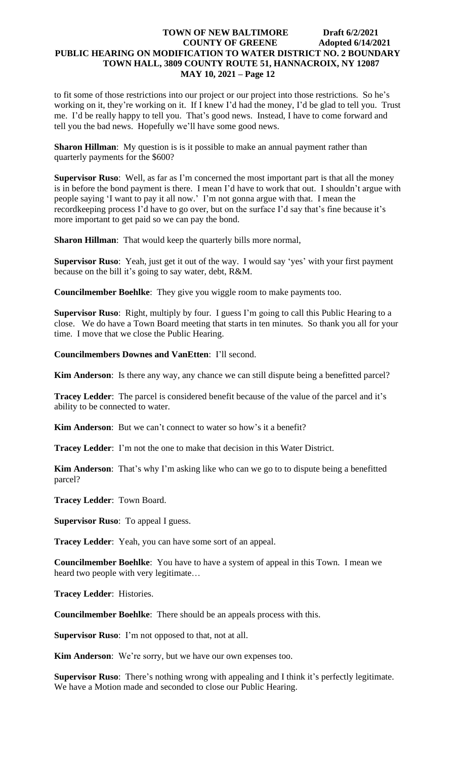to fit some of those restrictions into our project or our project into those restrictions. So he's working on it, they're working on it. If I knew I'd had the money, I'd be glad to tell you. Trust me. I'd be really happy to tell you. That's good news. Instead, I have to come forward and tell you the bad news. Hopefully we'll have some good news.

**Sharon Hillman**: My question is is it possible to make an annual payment rather than quarterly payments for the \$600?

**Supervisor Ruso**: Well, as far as I'm concerned the most important part is that all the money is in before the bond payment is there. I mean I'd have to work that out. I shouldn't argue with people saying 'I want to pay it all now.' I'm not gonna argue with that. I mean the recordkeeping process I'd have to go over, but on the surface I'd say that's fine because it's more important to get paid so we can pay the bond.

**Sharon Hillman**: That would keep the quarterly bills more normal,

**Supervisor Ruso**: Yeah, just get it out of the way. I would say 'yes' with your first payment because on the bill it's going to say water, debt, R&M.

**Councilmember Boehlke**: They give you wiggle room to make payments too.

**Supervisor Ruso**: Right, multiply by four. I guess I'm going to call this Public Hearing to a close. We do have a Town Board meeting that starts in ten minutes. So thank you all for your time. I move that we close the Public Hearing.

**Councilmembers Downes and VanEtten**: I'll second.

**Kim Anderson**: Is there any way, any chance we can still dispute being a benefitted parcel?

**Tracey Ledder**: The parcel is considered benefit because of the value of the parcel and it's ability to be connected to water.

**Kim Anderson**: But we can't connect to water so how's it a benefit?

**Tracey Ledder**: I'm not the one to make that decision in this Water District.

**Kim Anderson**: That's why I'm asking like who can we go to to dispute being a benefitted parcel?

**Tracey Ledder**: Town Board.

**Supervisor Ruso**: To appeal I guess.

**Tracey Ledder**: Yeah, you can have some sort of an appeal.

**Councilmember Boehlke**: You have to have a system of appeal in this Town. I mean we heard two people with very legitimate…

**Tracey Ledder**: Histories.

**Councilmember Boehlke**: There should be an appeals process with this.

**Supervisor Ruso**: I'm not opposed to that, not at all.

**Kim Anderson**: We're sorry, but we have our own expenses too.

**Supervisor Ruso**: There's nothing wrong with appealing and I think it's perfectly legitimate. We have a Motion made and seconded to close our Public Hearing.